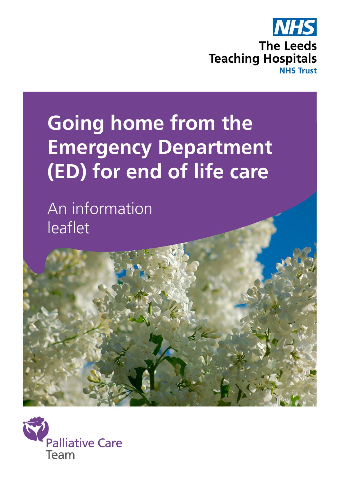

# **Going home from the Emergency Department (ED) for end of life care**

An information leaflet

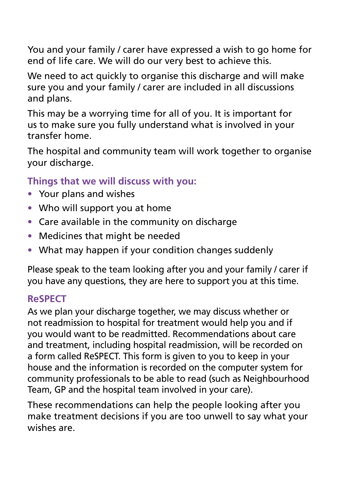You and your family / carer have expressed a wish to go home for end of life care. We will do our very best to achieve this.

We need to act quickly to organise this discharge and will make sure you and your family / carer are included in all discussions and plans.

This may be a worrying time for all of you. It is important for us to make sure you fully understand what is involved in your transfer home.

The hospital and community team will work together to organise your discharge.

## **Things that we will discuss with you:**

- Your plans and wishes
- Who will support you at home
- Care available in the community on discharge
- Medicines that might be needed
- What may happen if your condition changes suddenly

Please speak to the team looking after you and your family / carer if you have any questions, they are here to support you at this time.

# **ReSPECT**

As we plan your discharge together, we may discuss whether or not readmission to hospital for treatment would help you and if you would want to be readmitted. Recommendations about care and treatment, including hospital readmission, will be recorded on a form called ReSPECT. This form is given to you to keep in your house and the information is recorded on the computer system for community professionals to be able to read (such as Neighbourhood Team, GP and the hospital team involved in your care).

These recommendations can help the people looking after you make treatment decisions if you are too unwell to say what your wishes are.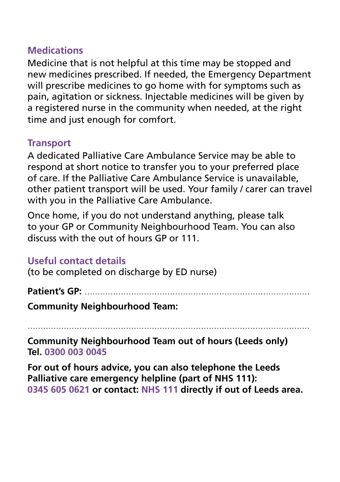#### **Medications**

Medicine that is not helpful at this time may be stopped and new medicines prescribed. If needed, the Emergency Department will prescribe medicines to go home with for symptoms such as pain, agitation or sickness. Injectable medicines will be given by a registered nurse in the community when needed, at the right time and just enough for comfort.

#### **Transport**

A dedicated Palliative Care Ambulance Service may be able to respond at short notice to transfer you to your preferred place of care. If the Palliative Care Ambulance Service is unavailable, other patient transport will be used. Your family / carer can travel with you in the Palliative Care Ambulance.

Once home, if you do not understand anything, please talk to your GP or Community Neighbourhood Team. You can also discuss with the out of hours GP or 111.

## **Useful contact details**

(to be completed on discharge by ED nurse)

## **Patient's GP:** .......................................................................................

**Community Neighbourhood Team:** 

.............................................................................................................

**Community Neighbourhood Team out of hours (Leeds only) Tel. 0300 003 0045**

**For out of hours advice, you can also telephone the Leeds Palliative care emergency helpline (part of NHS 111): 0345 605 0621 or contact: NHS 111 directly if out of Leeds area.**